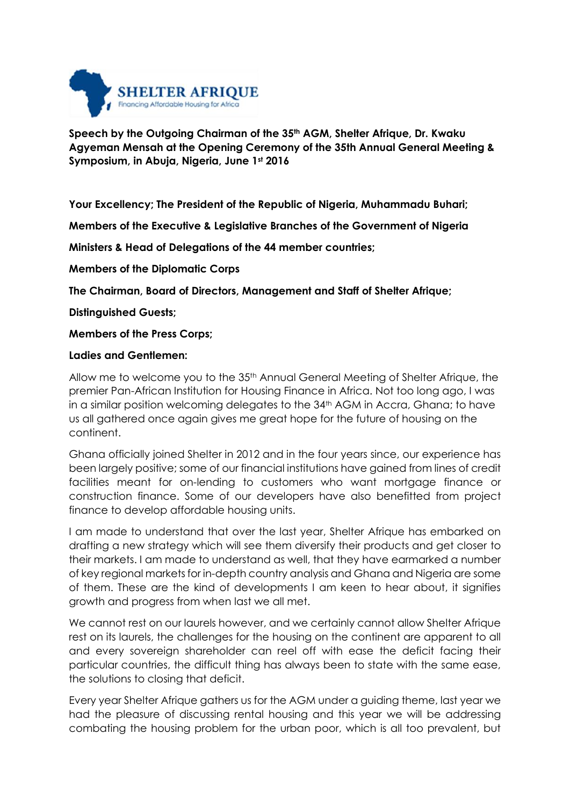

## **Speech by the Outgoing Chairman of the 35th AGM, Shelter Afrique, Dr. Kwaku Agyeman Mensah at the Opening Ceremony of the 35th Annual General Meeting & Symposium, in Abuja, Nigeria, June 1st 2016**

**Your Excellency; The President of the Republic of Nigeria, Muhammadu Buhari;**

**Members of the Executive & Legislative Branches of the Government of Nigeria**

**Ministers & Head of Delegations of the 44 member countries;**

**Members of the Diplomatic Corps**

**The Chairman, Board of Directors, Management and Staff of Shelter Afrique;**

**Distinguished Guests;**

**Members of the Press Corps;**

## **Ladies and Gentlemen:**

Allow me to welcome you to the 35th Annual General Meeting of Shelter Afrique, the premier Pan-African Institution for Housing Finance in Africa. Not too long ago, I was in a similar position welcoming delegates to the 34<sup>th</sup> AGM in Accra, Ghana; to have us all gathered once again gives me great hope for the future of housing on the continent.

Ghana officially joined Shelter in 2012 and in the four years since, our experience has been largely positive; some of our financial institutions have gained from lines of credit facilities meant for on-lending to customers who want mortgage finance or construction finance. Some of our developers have also benefitted from project finance to develop affordable housing units.

I am made to understand that over the last year, Shelter Afrique has embarked on drafting a new strategy which will see them diversify their products and get closer to their markets. I am made to understand as well, that they have earmarked a number of key regional markets for in-depth country analysis and Ghana and Nigeria are some of them. These are the kind of developments I am keen to hear about, it signifies growth and progress from when last we all met.

We cannot rest on our laurels however, and we certainly cannot allow Shelter Afrique rest on its laurels, the challenges for the housing on the continent are apparent to all and every sovereign shareholder can reel off with ease the deficit facing their particular countries, the difficult thing has always been to state with the same ease, the solutions to closing that deficit.

Every year Shelter Afrique gathers us for the AGM under a guiding theme, last year we had the pleasure of discussing rental housing and this year we will be addressing combating the housing problem for the urban poor, which is all too prevalent, but